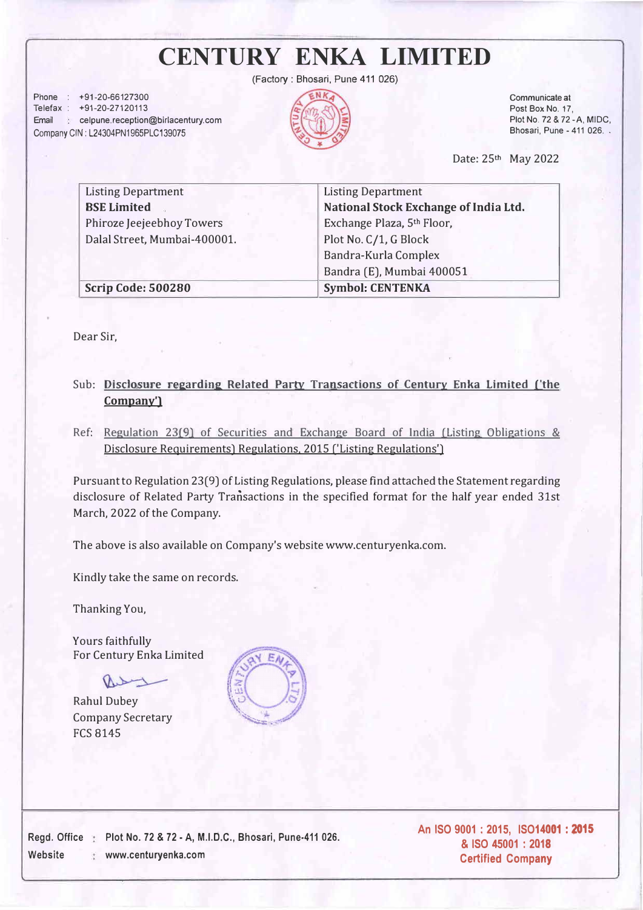## **CENTURY ENKA LIMITED**

(Factory: Bhosari, Pune 411 026)

Phone : +91-20-66127300 Telefax : +91-20-27120113 Email celpune.reception@birlacentury.com Company GIN: L24304PN1965PLC139075



Communicate at Post Box No. 17, Plot No. 72 & 72-A, MIDC, Bhosari, Pune - 411 026. .

Date: 25th May 2022

| <b>Listing Department</b>    | <b>Listing Department</b>             |  |  |  |  |  |  |
|------------------------------|---------------------------------------|--|--|--|--|--|--|
| <b>BSE Limited</b>           | National Stock Exchange of India Ltd. |  |  |  |  |  |  |
| Phiroze Jeejeebhoy Towers    | Exchange Plaza, 5th Floor,            |  |  |  |  |  |  |
| Dalal Street, Mumbai-400001. | Plot No. C/1, G Block                 |  |  |  |  |  |  |
|                              | Bandra-Kurla Complex                  |  |  |  |  |  |  |
|                              | Bandra (E), Mumbai 400051             |  |  |  |  |  |  |
| <b>Scrip Code: 500280</b>    | <b>Symbol: CENTENKA</b>               |  |  |  |  |  |  |

Dear Sir,

## Sub: Disclosure regarding Related Party Transactions of Century Enka Limited ('the **Company')**

Ref: Regulation 23(9) of Securities and Exchange Board of India (Listing Obligations & Disclosure Requirements) Regulations, 2015 ('Listing Regulations')

Pursuant to Regulation 23(9) of Listing Regulations, please find attached the Statement regarding disclosure of Related Party Transactions in the specified format for the half year ended 31st March, 2022 of the Company.

The above is also available on Company's website www.centuryenka.com.

Kindly take the same on records.

Thanking You,

Yours faithfully For Century Enka Limited

Rahul Dubey Company Secretary FCS 8145



Regd. Office Plot No. 72 & 72 - A, M.I.D.C., Bhosari, Pune-411 026. Website www.centuryenka.com

**An ISO** 9001 : 2015, **ISO14001 :** 2015 **& ISO** 45001 : 2018 **Certified Company**